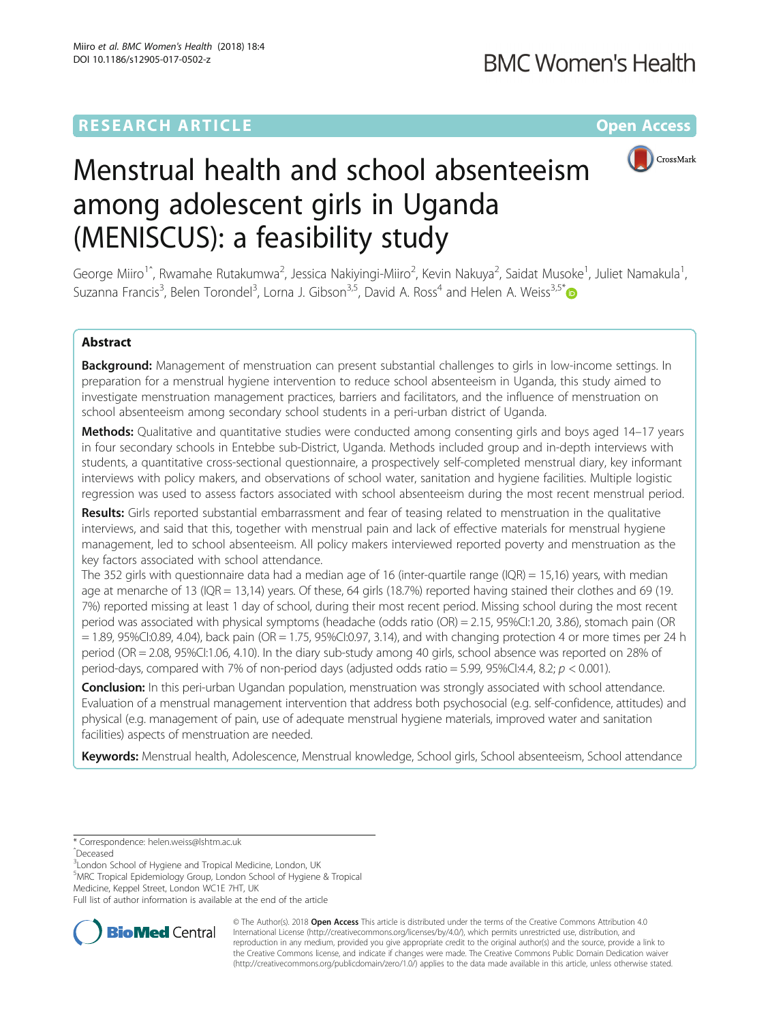# **RESEARCH ARTICLE Example 2014 12:30 The Community Community Community Community Community Community Community**



# Menstrual health and school absenteeism among adolescent girls in Uganda (MENISCUS): a feasibility study

George Miiro<sup>1</sup>^, Rwamahe Rutakumwa<sup>2</sup>, Jessica Nakiyingi-Miiro<sup>2</sup>, Kevin Nakuya<sup>2</sup>, Saidat Musoke<sup>1</sup>, Juliet Namakula<sup>1</sup> , Suzanna Francis<sup>3</sup>, Belen Torondel<sup>3</sup>, Lorna J. Gibson<sup>3,5</sup>, David A. Ross<sup>4</sup> and Helen A. Weiss<sup>3,5\*</sup>

# Abstract

Background: Management of menstruation can present substantial challenges to girls in low-income settings. In preparation for a menstrual hygiene intervention to reduce school absenteeism in Uganda, this study aimed to investigate menstruation management practices, barriers and facilitators, and the influence of menstruation on school absenteeism among secondary school students in a peri-urban district of Uganda.

Methods: Qualitative and quantitative studies were conducted among consenting girls and boys aged 14–17 years in four secondary schools in Entebbe sub-District, Uganda. Methods included group and in-depth interviews with students, a quantitative cross-sectional questionnaire, a prospectively self-completed menstrual diary, key informant interviews with policy makers, and observations of school water, sanitation and hygiene facilities. Multiple logistic regression was used to assess factors associated with school absenteeism during the most recent menstrual period.

Results: Girls reported substantial embarrassment and fear of teasing related to menstruation in the qualitative interviews, and said that this, together with menstrual pain and lack of effective materials for menstrual hygiene management, led to school absenteeism. All policy makers interviewed reported poverty and menstruation as the key factors associated with school attendance.

The 352 girls with questionnaire data had a median age of 16 (inter-quartile range (IQR) = 15,16) years, with median age at menarche of 13 (IQR = 13,14) years. Of these, 64 girls (18.7%) reported having stained their clothes and 69 (19. 7%) reported missing at least 1 day of school, during their most recent period. Missing school during the most recent period was associated with physical symptoms (headache (odds ratio (OR) = 2.15, 95%CI:1.20, 3.86), stomach pain (OR  $= 1.89$ , 95%CI:0.89, 4.04), back pain (OR  $= 1.75$ , 95%CI:0.97, 3.14), and with changing protection 4 or more times per 24 h period (OR = 2.08, 95%CI:1.06, 4.10). In the diary sub-study among 40 girls, school absence was reported on 28% of period-days, compared with 7% of non-period days (adjusted odds ratio = 5.99, 95%CI:4.4, 8.2;  $p < 0.001$ ).

**Conclusion:** In this peri-urban Ugandan population, menstruation was strongly associated with school attendance. Evaluation of a menstrual management intervention that address both psychosocial (e.g. self-confidence, attitudes) and physical (e.g. management of pain, use of adequate menstrual hygiene materials, improved water and sanitation facilities) aspects of menstruation are needed.

Keywords: Menstrual health, Adolescence, Menstrual knowledge, School girls, School absenteeism, School attendance

<sup>3</sup> London School of Hygiene and Tropical Medicine, London, UK

5 MRC Tropical Epidemiology Group, London School of Hygiene & Tropical Medicine, Keppel Street, London WC1E 7HT, UK

Full list of author information is available at the end of the article



© The Author(s). 2018 Open Access This article is distributed under the terms of the Creative Commons Attribution 4.0 International License [\(http://creativecommons.org/licenses/by/4.0/](http://creativecommons.org/licenses/by/4.0/)), which permits unrestricted use, distribution, and reproduction in any medium, provided you give appropriate credit to the original author(s) and the source, provide a link to the Creative Commons license, and indicate if changes were made. The Creative Commons Public Domain Dedication waiver [\(http://creativecommons.org/publicdomain/zero/1.0/](http://creativecommons.org/publicdomain/zero/1.0/)) applies to the data made available in this article, unless otherwise stated.

<sup>\*</sup> Correspondence: [helen.weiss@lshtm.ac.uk](mailto:helen.weiss@lshtm.ac.uk) <sup>ˆ</sup>Deceased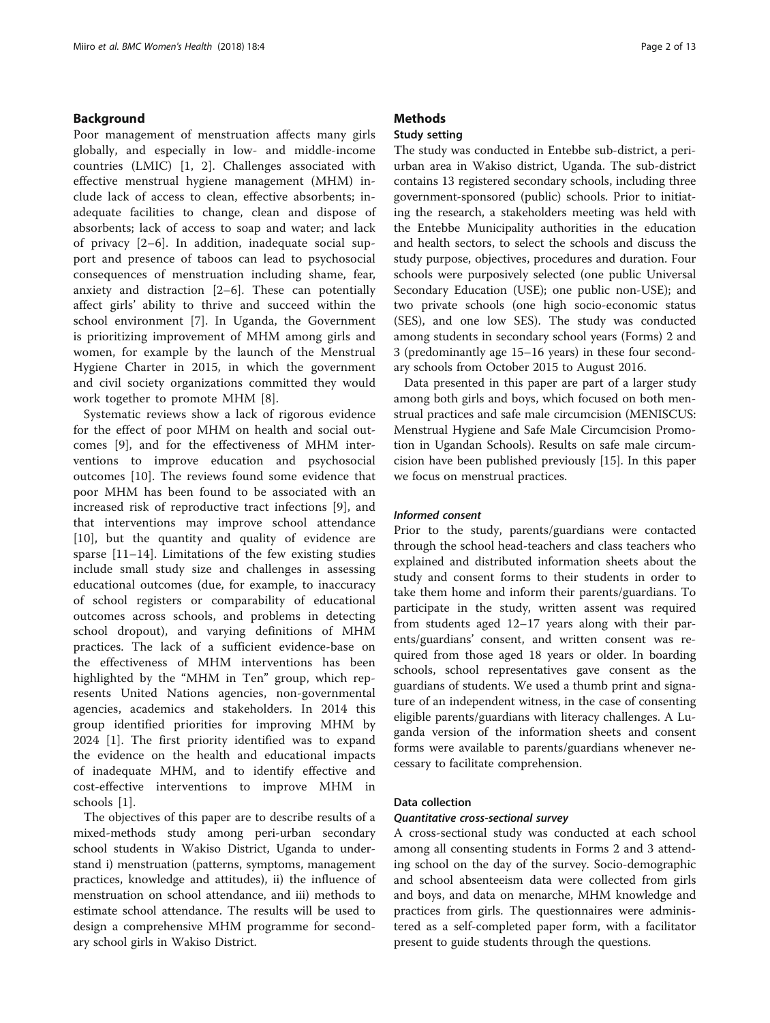#### Background

Poor management of menstruation affects many girls globally, and especially in low- and middle-income countries (LMIC) [[1, 2\]](#page-11-0). Challenges associated with effective menstrual hygiene management (MHM) include lack of access to clean, effective absorbents; inadequate facilities to change, clean and dispose of absorbents; lack of access to soap and water; and lack of privacy [[2](#page-11-0)–[6\]](#page-11-0). In addition, inadequate social support and presence of taboos can lead to psychosocial consequences of menstruation including shame, fear, anxiety and distraction [[2](#page-11-0)–[6\]](#page-11-0). These can potentially affect girls' ability to thrive and succeed within the school environment [[7\]](#page-11-0). In Uganda, the Government is prioritizing improvement of MHM among girls and women, for example by the launch of the Menstrual Hygiene Charter in 2015, in which the government and civil society organizations committed they would work together to promote MHM [\[8](#page-11-0)].

Systematic reviews show a lack of rigorous evidence for the effect of poor MHM on health and social outcomes [[9\]](#page-11-0), and for the effectiveness of MHM interventions to improve education and psychosocial outcomes [\[10](#page-11-0)]. The reviews found some evidence that poor MHM has been found to be associated with an increased risk of reproductive tract infections [[9\]](#page-11-0), and that interventions may improve school attendance [[10\]](#page-11-0), but the quantity and quality of evidence are sparse  $[11-14]$  $[11-14]$  $[11-14]$  $[11-14]$ . Limitations of the few existing studies include small study size and challenges in assessing educational outcomes (due, for example, to inaccuracy of school registers or comparability of educational outcomes across schools, and problems in detecting school dropout), and varying definitions of MHM practices. The lack of a sufficient evidence-base on the effectiveness of MHM interventions has been highlighted by the "MHM in Ten" group, which represents United Nations agencies, non-governmental agencies, academics and stakeholders. In 2014 this group identified priorities for improving MHM by 2024 [\[1](#page-11-0)]. The first priority identified was to expand the evidence on the health and educational impacts of inadequate MHM, and to identify effective and cost-effective interventions to improve MHM in schools [[1\]](#page-11-0).

The objectives of this paper are to describe results of a mixed-methods study among peri-urban secondary school students in Wakiso District, Uganda to understand i) menstruation (patterns, symptoms, management practices, knowledge and attitudes), ii) the influence of menstruation on school attendance, and iii) methods to estimate school attendance. The results will be used to design a comprehensive MHM programme for secondary school girls in Wakiso District.

#### **Methods**

#### Study setting

The study was conducted in Entebbe sub-district, a periurban area in Wakiso district, Uganda. The sub-district contains 13 registered secondary schools, including three government-sponsored (public) schools. Prior to initiating the research, a stakeholders meeting was held with the Entebbe Municipality authorities in the education and health sectors, to select the schools and discuss the study purpose, objectives, procedures and duration. Four schools were purposively selected (one public Universal Secondary Education (USE); one public non-USE); and two private schools (one high socio-economic status (SES), and one low SES). The study was conducted among students in secondary school years (Forms) 2 and 3 (predominantly age 15–16 years) in these four secondary schools from October 2015 to August 2016.

Data presented in this paper are part of a larger study among both girls and boys, which focused on both menstrual practices and safe male circumcision (MENISCUS: Menstrual Hygiene and Safe Male Circumcision Promotion in Ugandan Schools). Results on safe male circumcision have been published previously [\[15\]](#page-12-0). In this paper we focus on menstrual practices.

#### Informed consent

Prior to the study, parents/guardians were contacted through the school head-teachers and class teachers who explained and distributed information sheets about the study and consent forms to their students in order to take them home and inform their parents/guardians. To participate in the study, written assent was required from students aged 12–17 years along with their parents/guardians' consent, and written consent was required from those aged 18 years or older. In boarding schools, school representatives gave consent as the guardians of students. We used a thumb print and signature of an independent witness, in the case of consenting eligible parents/guardians with literacy challenges. A Luganda version of the information sheets and consent forms were available to parents/guardians whenever necessary to facilitate comprehension.

#### Data collection

#### Quantitative cross-sectional survey

A cross-sectional study was conducted at each school among all consenting students in Forms 2 and 3 attending school on the day of the survey. Socio-demographic and school absenteeism data were collected from girls and boys, and data on menarche, MHM knowledge and practices from girls. The questionnaires were administered as a self-completed paper form, with a facilitator present to guide students through the questions.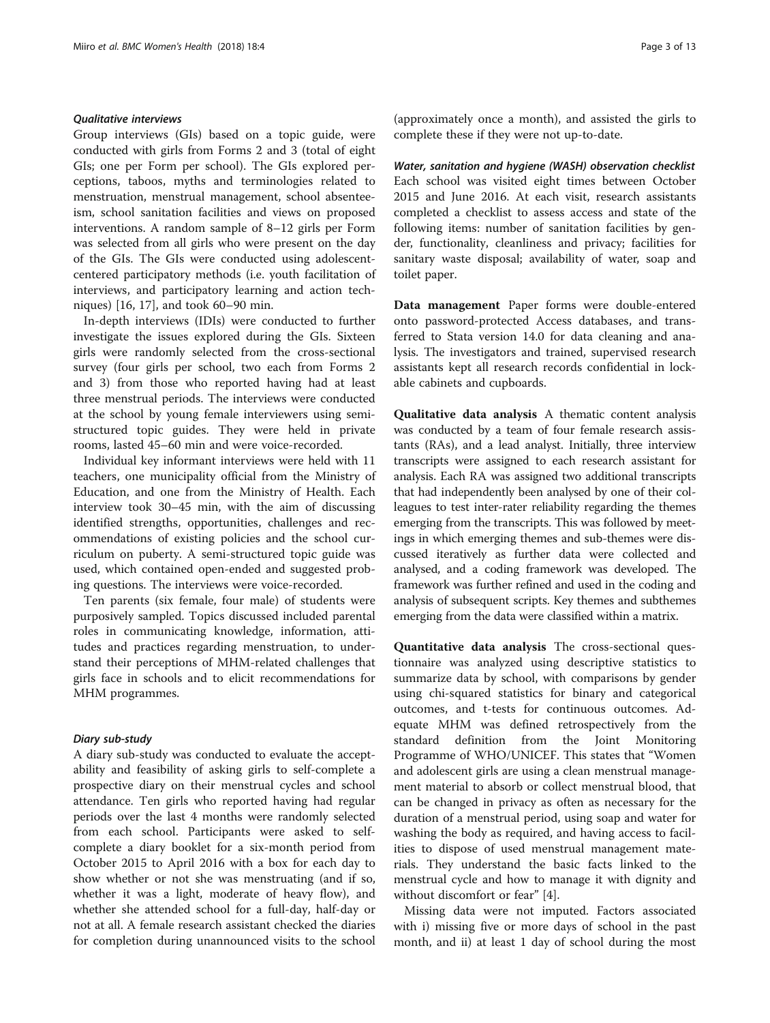#### Qualitative interviews

Group interviews (GIs) based on a topic guide, were conducted with girls from Forms 2 and 3 (total of eight GIs; one per Form per school). The GIs explored perceptions, taboos, myths and terminologies related to menstruation, menstrual management, school absenteeism, school sanitation facilities and views on proposed interventions. A random sample of 8–12 girls per Form was selected from all girls who were present on the day of the GIs. The GIs were conducted using adolescentcentered participatory methods (i.e. youth facilitation of interviews, and participatory learning and action techniques) [[16, 17](#page-12-0)], and took 60–90 min.

In-depth interviews (IDIs) were conducted to further investigate the issues explored during the GIs. Sixteen girls were randomly selected from the cross-sectional survey (four girls per school, two each from Forms 2 and 3) from those who reported having had at least three menstrual periods. The interviews were conducted at the school by young female interviewers using semistructured topic guides. They were held in private rooms, lasted 45–60 min and were voice-recorded.

Individual key informant interviews were held with 11 teachers, one municipality official from the Ministry of Education, and one from the Ministry of Health. Each interview took 30–45 min, with the aim of discussing identified strengths, opportunities, challenges and recommendations of existing policies and the school curriculum on puberty. A semi-structured topic guide was used, which contained open-ended and suggested probing questions. The interviews were voice-recorded.

Ten parents (six female, four male) of students were purposively sampled. Topics discussed included parental roles in communicating knowledge, information, attitudes and practices regarding menstruation, to understand their perceptions of MHM-related challenges that girls face in schools and to elicit recommendations for MHM programmes.

#### Diary sub-study

A diary sub-study was conducted to evaluate the acceptability and feasibility of asking girls to self-complete a prospective diary on their menstrual cycles and school attendance. Ten girls who reported having had regular periods over the last 4 months were randomly selected from each school. Participants were asked to selfcomplete a diary booklet for a six-month period from October 2015 to April 2016 with a box for each day to show whether or not she was menstruating (and if so, whether it was a light, moderate of heavy flow), and whether she attended school for a full-day, half-day or not at all. A female research assistant checked the diaries for completion during unannounced visits to the school

(approximately once a month), and assisted the girls to complete these if they were not up-to-date.

Water, sanitation and hygiene (WASH) observation checklist Each school was visited eight times between October 2015 and June 2016. At each visit, research assistants completed a checklist to assess access and state of the following items: number of sanitation facilities by gender, functionality, cleanliness and privacy; facilities for sanitary waste disposal; availability of water, soap and toilet paper.

Data management Paper forms were double-entered onto password-protected Access databases, and transferred to Stata version 14.0 for data cleaning and analysis. The investigators and trained, supervised research assistants kept all research records confidential in lockable cabinets and cupboards.

Qualitative data analysis A thematic content analysis was conducted by a team of four female research assistants (RAs), and a lead analyst. Initially, three interview transcripts were assigned to each research assistant for analysis. Each RA was assigned two additional transcripts that had independently been analysed by one of their colleagues to test inter-rater reliability regarding the themes emerging from the transcripts. This was followed by meetings in which emerging themes and sub-themes were discussed iteratively as further data were collected and analysed, and a coding framework was developed. The framework was further refined and used in the coding and analysis of subsequent scripts. Key themes and subthemes emerging from the data were classified within a matrix.

Quantitative data analysis The cross-sectional questionnaire was analyzed using descriptive statistics to summarize data by school, with comparisons by gender using chi-squared statistics for binary and categorical outcomes, and t-tests for continuous outcomes. Adequate MHM was defined retrospectively from the standard definition from the Joint Monitoring Programme of WHO/UNICEF. This states that "Women and adolescent girls are using a clean menstrual management material to absorb or collect menstrual blood, that can be changed in privacy as often as necessary for the duration of a menstrual period, using soap and water for washing the body as required, and having access to facilities to dispose of used menstrual management materials. They understand the basic facts linked to the menstrual cycle and how to manage it with dignity and without discomfort or fear" [[4\]](#page-11-0).

Missing data were not imputed. Factors associated with i) missing five or more days of school in the past month, and ii) at least 1 day of school during the most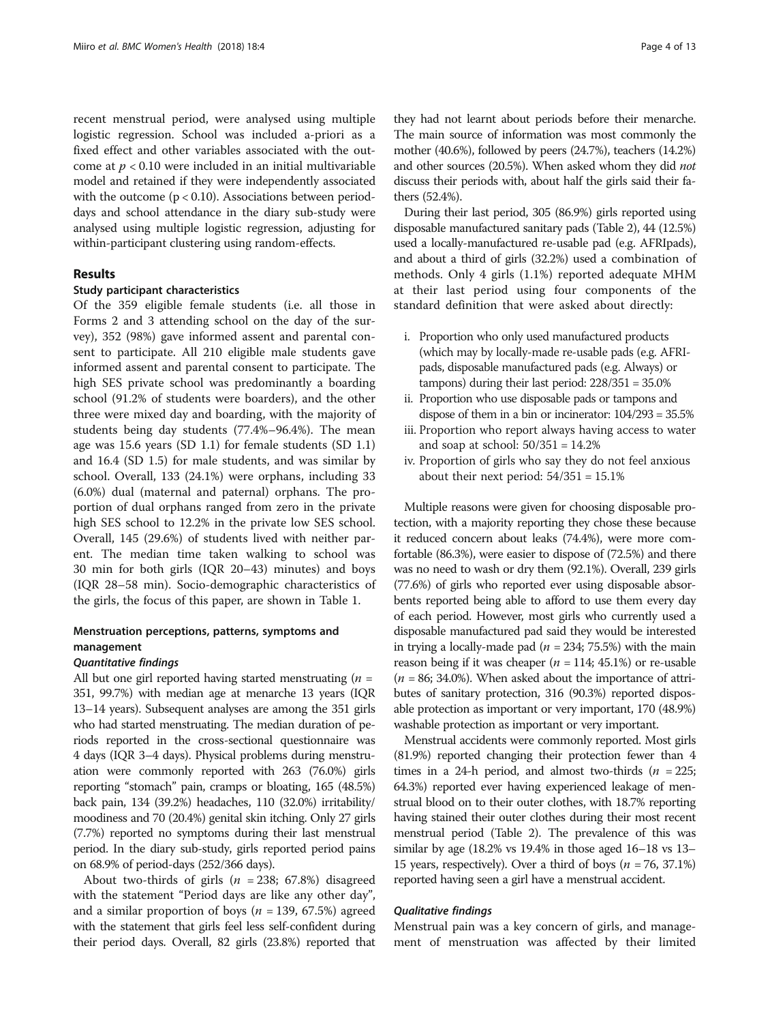recent menstrual period, were analysed using multiple logistic regression. School was included a-priori as a fixed effect and other variables associated with the outcome at  $p < 0.10$  were included in an initial multivariable model and retained if they were independently associated with the outcome  $(p < 0.10)$ . Associations between perioddays and school attendance in the diary sub-study were analysed using multiple logistic regression, adjusting for within-participant clustering using random-effects.

#### Results

## Study participant characteristics

Of the 359 eligible female students (i.e. all those in Forms 2 and 3 attending school on the day of the survey), 352 (98%) gave informed assent and parental consent to participate. All 210 eligible male students gave informed assent and parental consent to participate. The high SES private school was predominantly a boarding school (91.2% of students were boarders), and the other three were mixed day and boarding, with the majority of students being day students (77.4%–96.4%). The mean age was 15.6 years (SD 1.1) for female students (SD 1.1) and 16.4 (SD 1.5) for male students, and was similar by school. Overall, 133 (24.1%) were orphans, including 33 (6.0%) dual (maternal and paternal) orphans. The proportion of dual orphans ranged from zero in the private high SES school to 12.2% in the private low SES school. Overall, 145 (29.6%) of students lived with neither parent. The median time taken walking to school was 30 min for both girls (IQR 20–43) minutes) and boys (IQR 28–58 min). Socio-demographic characteristics of the girls, the focus of this paper, are shown in Table [1.](#page-4-0)

#### Menstruation perceptions, patterns, symptoms and management

#### Quantitative findings

All but one girl reported having started menstruating  $(n =$ 351, 99.7%) with median age at menarche 13 years (IQR 13–14 years). Subsequent analyses are among the 351 girls who had started menstruating. The median duration of periods reported in the cross-sectional questionnaire was 4 days (IQR 3–4 days). Physical problems during menstruation were commonly reported with 263 (76.0%) girls reporting "stomach" pain, cramps or bloating, 165 (48.5%) back pain, 134 (39.2%) headaches, 110 (32.0%) irritability/ moodiness and 70 (20.4%) genital skin itching. Only 27 girls (7.7%) reported no symptoms during their last menstrual period. In the diary sub-study, girls reported period pains on 68.9% of period-days (252/366 days).

About two-thirds of girls ( $n = 238$ ; 67.8%) disagreed with the statement "Period days are like any other day", and a similar proportion of boys ( $n = 139, 67.5\%$ ) agreed with the statement that girls feel less self-confident during their period days. Overall, 82 girls (23.8%) reported that they had not learnt about periods before their menarche. The main source of information was most commonly the mother (40.6%), followed by peers (24.7%), teachers (14.2%) and other sources (20.5%). When asked whom they did *not* discuss their periods with, about half the girls said their fathers (52.4%).

During their last period, 305 (86.9%) girls reported using disposable manufactured sanitary pads (Table [2\)](#page-5-0), 44 (12.5%) used a locally-manufactured re-usable pad (e.g. AFRIpads), and about a third of girls (32.2%) used a combination of methods. Only 4 girls (1.1%) reported adequate MHM at their last period using four components of the standard definition that were asked about directly:

- i. Proportion who only used manufactured products (which may by locally-made re-usable pads (e.g. AFRIpads, disposable manufactured pads (e.g. Always) or tampons) during their last period: 228/351 = 35.0%
- ii. Proportion who use disposable pads or tampons and dispose of them in a bin or incinerator: 104/293 = 35.5%
- iii. Proportion who report always having access to water and soap at school:  $50/351 = 14.2\%$
- iv. Proportion of girls who say they do not feel anxious about their next period:  $54/351 = 15.1\%$

Multiple reasons were given for choosing disposable protection, with a majority reporting they chose these because it reduced concern about leaks (74.4%), were more comfortable (86.3%), were easier to dispose of (72.5%) and there was no need to wash or dry them (92.1%). Overall, 239 girls (77.6%) of girls who reported ever using disposable absorbents reported being able to afford to use them every day of each period. However, most girls who currently used a disposable manufactured pad said they would be interested in trying a locally-made pad ( $n = 234$ ; 75.5%) with the main reason being if it was cheaper ( $n = 114$ ; 45.1%) or re-usable  $(n = 86; 34.0\%)$ . When asked about the importance of attributes of sanitary protection, 316 (90.3%) reported disposable protection as important or very important, 170 (48.9%) washable protection as important or very important.

Menstrual accidents were commonly reported. Most girls (81.9%) reported changing their protection fewer than 4 times in a 24-h period, and almost two-thirds  $(n = 225)$ ; 64.3%) reported ever having experienced leakage of menstrual blood on to their outer clothes, with 18.7% reporting having stained their outer clothes during their most recent menstrual period (Table [2\)](#page-5-0). The prevalence of this was similar by age (18.2% vs 19.4% in those aged 16–18 vs 13– 15 years, respectively). Over a third of boys ( $n = 76, 37.1\%$ ) reported having seen a girl have a menstrual accident.

#### Qualitative findings

Menstrual pain was a key concern of girls, and management of menstruation was affected by their limited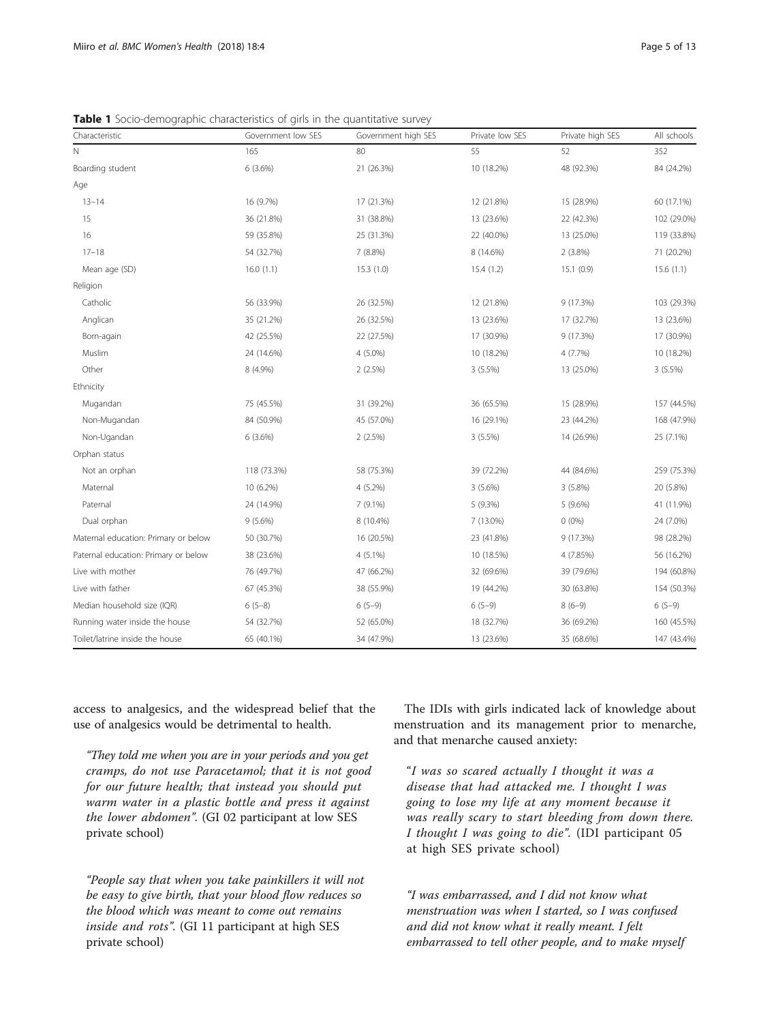<span id="page-4-0"></span>**Table 1** Socio-demographic characteristics of girls in the quantitative survey

| Characteristic                       | Government low SES | Government high SES | Private low SES | Private high SES | All schools |
|--------------------------------------|--------------------|---------------------|-----------------|------------------|-------------|
| N                                    | 165                | 80                  | 55              | 52               | 352         |
| Boarding student                     | 6(3.6%)            | 21 (26.3%)          | 10 (18.2%)      | 48 (92.3%)       | 84 (24.2%)  |
| Age                                  |                    |                     |                 |                  |             |
| $13 - 14$                            | 16 (9.7%)          | 17 (21.3%)          | 12 (21.8%)      | 15 (28.9%)       | 60 (17.1%)  |
| 15                                   | 36 (21.8%)         | 31 (38.8%)          | 13 (23.6%)      | 22 (42.3%)       | 102 (29.0%) |
| 16                                   | 59 (35.8%)         | 25 (31.3%)          | 22 (40.0%)      | 13 (25.0%)       | 119 (33.8%) |
| $17 - 18$                            | 54 (32.7%)         | 7 (8.8%)            | 8 (14.6%)       | 2(3.8%)          | 71 (20.2%)  |
| Mean age (SD)                        | 16.0(1.1)          | 15.3(1.0)           | 15.4(1.2)       | 15.1(0.9)        | 15.6(1.1)   |
| Religion                             |                    |                     |                 |                  |             |
| Catholic                             | 56 (33.9%)         | 26 (32.5%)          | 12 (21.8%)      | 9 (17.3%)        | 103 (29.3%) |
| Anglican                             | 35 (21.2%)         | 26 (32.5%)          | 13 (23.6%)      | 17 (32.7%)       | 13 (23.6%)  |
| Born-again                           | 42 (25.5%)         | 22 (27.5%)          | 17 (30.9%)      | 9 (17.3%)        | 17 (30.9%)  |
| Muslim                               | 24 (14.6%)         | 4 (5.0%)            | 10 (18.2%)      | 4 (7.7%)         | 10 (18.2%)  |
| Other                                | 8 (4.9%)           | 2(2.5%)             | 3 (5.5%)        | 13 (25.0%)       | 3(5.5%)     |
| Ethnicity                            |                    |                     |                 |                  |             |
| Mugandan                             | 75 (45.5%)         | 31 (39.2%)          | 36 (65.5%)      | 15 (28.9%)       | 157 (44.5%) |
| Non-Mugandan                         | 84 (50.9%)         | 45 (57.0%)          | 16 (29.1%)      | 23 (44.2%)       | 168 (47.9%) |
| Non-Ugandan                          | 6(3.6%)            | 2(2.5%)             | 3 (5.5%)        | 14 (26.9%)       | 25 (7.1%)   |
| Orphan status                        |                    |                     |                 |                  |             |
| Not an orphan                        | 118 (73.3%)        | 58 (75.3%)          | 39 (72.2%)      | 44 (84.6%)       | 259 (75.3%) |
| Maternal                             | 10 (6.2%)          | $4(5.2\%)$          | $3(5.6\%)$      | 3 (5.8%)         | 20 (5.8%)   |
| Paternal                             | 24 (14.9%)         | 7 (9.1%)            | 5 (9.3%)        | 5 (9.6%)         | 41 (11.9%)  |
| Dual orphan                          | $9(5.6\%)$         | 8 (10.4%)           | 7 (13.0%)       | $0(0\%)$         | 24 (7.0%)   |
| Maternal education: Primary or below | 50 (30.7%)         | 16 (20.5%)          | 23 (41.8%)      | 9 (17.3%)        | 98 (28.2%)  |
| Paternal education: Primary or below | 38 (23.6%)         | $4(5.1\%)$          | 10 (18.5%)      | 4 (7.85%)        | 56 (16.2%)  |
| Live with mother                     | 76 (49.7%)         | 47 (66.2%)          | 32 (69.6%)      | 39 (79.6%)       | 194 (60.8%) |
| Live with father                     | 67 (45.3%)         | 38 (55.9%)          | 19 (44.2%)      | 30 (63.8%)       | 154 (50.3%) |
| Median household size (IQR)          | $6(5-8)$           | $6(5-9)$            | $6(5-9)$        | $8(6-9)$         | $6(5-9)$    |
| Running water inside the house       | 54 (32.7%)         | 52 (65.0%)          | 18 (32.7%)      | 36 (69.2%)       | 160 (45.5%) |
| Toilet/latrine inside the house      | 65 (40.1%)         | 34 (47.9%)          | 13 (23.6%)      | 35 (68.6%)       | 147 (43.4%) |

access to analgesics, and the widespread belief that the use of analgesics would be detrimental to health.

"They told me when you are in your periods and you get cramps, do not use Paracetamol; that it is not good for our future health; that instead you should put warm water in a plastic bottle and press it against the lower abdomen". (GI 02 participant at low SES private school)

"People say that when you take painkillers it will not be easy to give birth, that your blood flow reduces so the blood which was meant to come out remains inside and rots". (GI 11 participant at high SES private school)

The IDIs with girls indicated lack of knowledge about menstruation and its management prior to menarche, and that menarche caused anxiety:

"I was so scared actually I thought it was a disease that had attacked me. I thought I was going to lose my life at any moment because it was really scary to start bleeding from down there. I thought I was going to die". (IDI participant 05 at high SES private school)

"I was embarrassed, and I did not know what menstruation was when I started, so I was confused and did not know what it really meant. I felt embarrassed to tell other people, and to make myself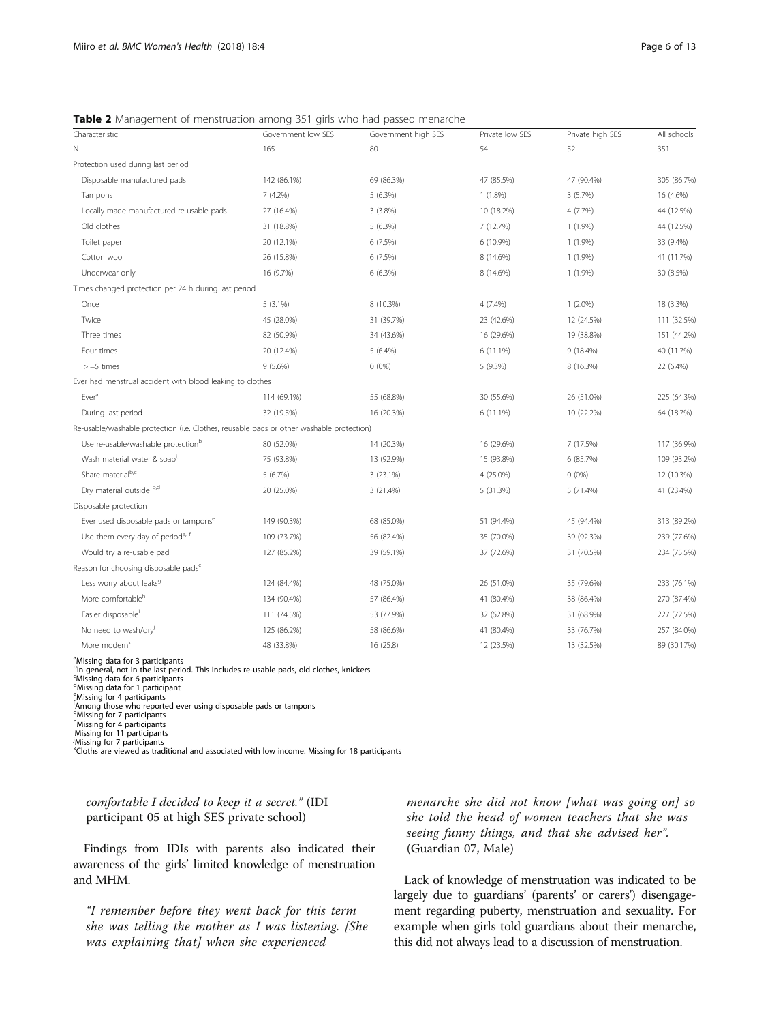<span id="page-5-0"></span>Table 2 Management of menstruation among 351 girls who had passed menarche

| Characteristic                                                                           | Government low SES | Government high SES | Private low SES | Private high SES | All schools |
|------------------------------------------------------------------------------------------|--------------------|---------------------|-----------------|------------------|-------------|
| $\mathbb N$                                                                              | 165                | 80                  | 54              | 52               | 351         |
| Protection used during last period                                                       |                    |                     |                 |                  |             |
| Disposable manufactured pads                                                             | 142 (86.1%)        | 69 (86.3%)          | 47 (85.5%)      | 47 (90.4%)       | 305 (86.7%) |
| Tampons                                                                                  | 7(4.2%)            | 5(6.3%)             | $1(1.8\%)$      | 3(5.7%)          | 16 (4.6%)   |
| Locally-made manufactured re-usable pads                                                 | 27 (16.4%)         | 3(3.8%)             | 10 (18.2%)      | 4 (7.7%)         | 44 (12.5%)  |
| Old clothes                                                                              | 31 (18.8%)         | 5(6.3%)             | 7 (12.7%)       | 1(1.9%)          | 44 (12.5%)  |
| Toilet paper                                                                             | 20 (12.1%)         | 6(7.5%)             | 6 (10.9%)       | 1(1.9%)          | 33 (9.4%)   |
| Cotton wool                                                                              | 26 (15.8%)         | 6(7.5%)             | 8 (14.6%)       | 1 (1.9%)         | 41 (11.7%)  |
| Underwear only                                                                           | 16 (9.7%)          | 6(6.3%)             | 8 (14.6%)       | 1 (1.9%)         | 30 (8.5%)   |
| Times changed protection per 24 h during last period                                     |                    |                     |                 |                  |             |
| Once                                                                                     | $5(3.1\%)$         | 8 (10.3%)           | 4 (7.4%)        | $1(2.0\%)$       | 18 (3.3%)   |
| Twice                                                                                    | 45 (28.0%)         | 31 (39.7%)          | 23 (42.6%)      | 12 (24.5%)       | 111 (32.5%) |
| Three times                                                                              | 82 (50.9%)         | 34 (43.6%)          | 16 (29.6%)      | 19 (38.8%)       | 151 (44.2%) |
| Four times                                                                               | 20 (12.4%)         | $5(6.4\%)$          | 6 (11.1%)       | 9 (18.4%)        | 40 (11.7%)  |
| $> = 5$ times                                                                            | 9(5.6%)            | 0(0%                | 5 (9.3%)        | 8 (16.3%)        | 22 (6.4%)   |
| Ever had menstrual accident with blood leaking to clothes                                |                    |                     |                 |                  |             |
| Ever <sup>a</sup>                                                                        | 114 (69.1%)        | 55 (68.8%)          | 30 (55.6%)      | 26 (51.0%)       | 225 (64.3%) |
| During last period                                                                       | 32 (19.5%)         | 16 (20.3%)          | 6 (11.1%)       | 10 (22.2%)       | 64 (18.7%)  |
| Re-usable/washable protection (i.e. Clothes, reusable pads or other washable protection) |                    |                     |                 |                  |             |
| Use re-usable/washable protection <sup>b</sup>                                           | 80 (52.0%)         | 14 (20.3%)          | 16 (29.6%)      | 7 (17.5%)        | 117 (36.9%) |
| Wash material water & soapb                                                              | 75 (93.8%)         | 13 (92.9%)          | 15 (93.8%)      | 6 (85.7%)        | 109 (93.2%) |
| Share material <sup>b,c</sup>                                                            | 5(6.7%)            | 3 (23.1%)           | 4 (25.0%)       | $0(0\%)$         | 12 (10.3%)  |
| Dry material outside b,d                                                                 | 20 (25.0%)         | 3(21.4%)            | 5 (31.3%)       | 5 (71.4%)        | 41 (23.4%)  |
| Disposable protection                                                                    |                    |                     |                 |                  |             |
| Ever used disposable pads or tampons <sup>e</sup>                                        | 149 (90.3%)        | 68 (85.0%)          | 51 (94.4%)      | 45 (94.4%)       | 313 (89.2%) |
| Use them every day of period <sup>a, f</sup>                                             | 109 (73.7%)        | 56 (82.4%)          | 35 (70.0%)      | 39 (92.3%)       | 239 (77.6%) |
| Would try a re-usable pad                                                                | 127 (85.2%)        | 39 (59.1%)          | 37 (72.6%)      | 31 (70.5%)       | 234 (75.5%) |
| Reason for choosing disposable pads <sup>c</sup>                                         |                    |                     |                 |                  |             |
| Less worry about leaks <sup>9</sup>                                                      | 124 (84.4%)        | 48 (75.0%)          | 26 (51.0%)      | 35 (79.6%)       | 233 (76.1%) |
| More comfortable <sup>h</sup>                                                            | 134 (90.4%)        | 57 (86.4%)          | 41 (80.4%)      | 38 (86.4%)       | 270 (87.4%) |
| Easier disposable <sup>i</sup>                                                           | 111 (74.5%)        | 53 (77.9%)          | 32 (62.8%)      | 31 (68.9%)       | 227 (72.5%) |
| No need to wash/dry                                                                      | 125 (86.2%)        | 58 (86.6%)          | 41 (80.4%)      | 33 (76.7%)       | 257 (84.0%) |
| More modern <sup>k</sup>                                                                 | 48 (33.8%)         | 16 (25.8)           | 12 (23.5%)      | 13 (32.5%)       | 89 (30.17%) |

<sup>a</sup>Missing data for 3 participants

<sup>b</sup>ln general, not in the last period. This includes re-usable pads, old clothes, knickers<br><sup>c</sup>Missing data for 6 participants

<sup>d</sup>Missing data for 1 participant

e Missing for 4 participants f Among those who reported ever using disposable pads or tampons

<sup>9</sup>Missing for 7 participants

h<br>Missing for 4 participants<br>Missing for 11 participants

j Missing for 7 participants

k Cloths are viewed as traditional and associated with low income. Missing for 18 participants

comfortable I decided to keep it a secret." (IDI participant 05 at high SES private school)

Findings from IDIs with parents also indicated their awareness of the girls' limited knowledge of menstruation and MHM.

"I remember before they went back for this term she was telling the mother as I was listening. [She was explaining that] when she experienced

menarche she did not know [what was going on] so she told the head of women teachers that she was seeing funny things, and that she advised her". (Guardian 07, Male)

Lack of knowledge of menstruation was indicated to be largely due to guardians' (parents' or carers') disengagement regarding puberty, menstruation and sexuality. For example when girls told guardians about their menarche, this did not always lead to a discussion of menstruation.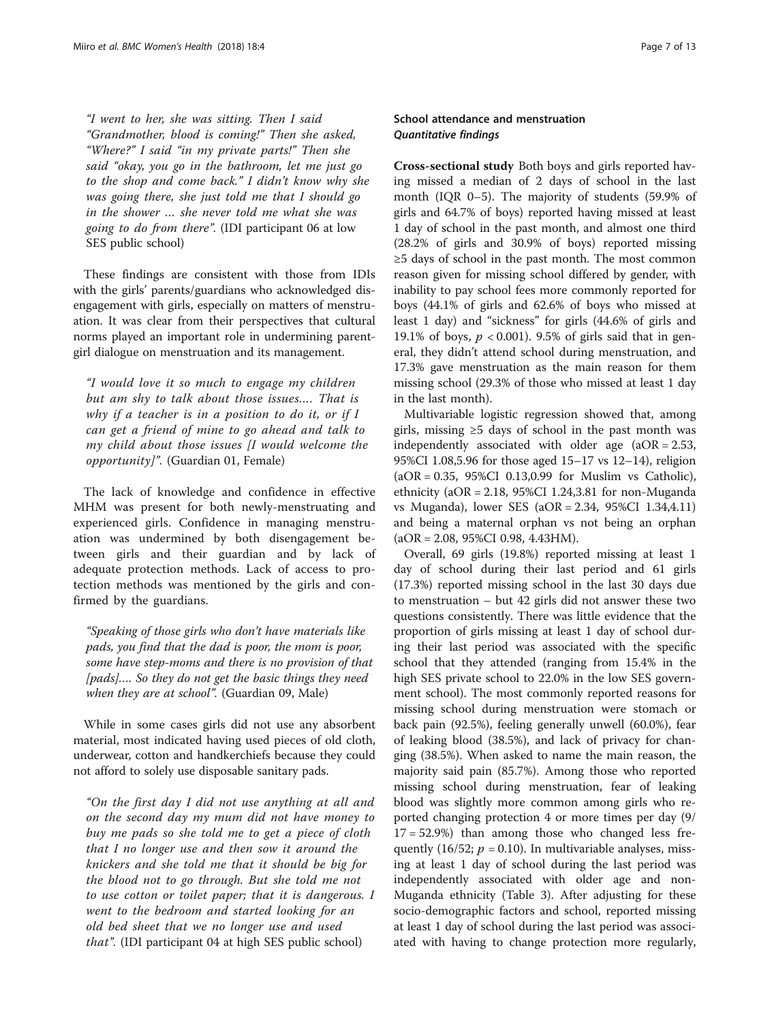"I went to her, she was sitting. Then I said "Grandmother, blood is coming!" Then she asked, "Where?" I said "in my private parts!" Then she said "okay, you go in the bathroom, let me just go to the shop and come back." I didn't know why she was going there, she just told me that I should go in the shower … she never told me what she was going to do from there". (IDI participant 06 at low SES public school)

These findings are consistent with those from IDIs with the girls' parents/guardians who acknowledged disengagement with girls, especially on matters of menstruation. It was clear from their perspectives that cultural norms played an important role in undermining parentgirl dialogue on menstruation and its management.

"I would love it so much to engage my children but am shy to talk about those issues…. That is why if a teacher is in a position to do it, or if I can get a friend of mine to go ahead and talk to my child about those issues [I would welcome the opportunity]". (Guardian 01, Female)

The lack of knowledge and confidence in effective MHM was present for both newly-menstruating and experienced girls. Confidence in managing menstruation was undermined by both disengagement between girls and their guardian and by lack of adequate protection methods. Lack of access to protection methods was mentioned by the girls and confirmed by the guardians.

"Speaking of those girls who don't have materials like pads, you find that the dad is poor, the mom is poor, some have step-moms and there is no provision of that [pads].... So they do not get the basic things they need when they are at school". (Guardian 09, Male)

While in some cases girls did not use any absorbent material, most indicated having used pieces of old cloth, underwear, cotton and handkerchiefs because they could not afford to solely use disposable sanitary pads.

"On the first day I did not use anything at all and on the second day my mum did not have money to buy me pads so she told me to get a piece of cloth that I no longer use and then sow it around the knickers and she told me that it should be big for the blood not to go through. But she told me not to use cotton or toilet paper; that it is dangerous. I went to the bedroom and started looking for an old bed sheet that we no longer use and used that". (IDI participant 04 at high SES public school)

# School attendance and menstruation Quantitative findings

Cross-sectional study Both boys and girls reported having missed a median of 2 days of school in the last month (IQR 0–5). The majority of students (59.9% of girls and 64.7% of boys) reported having missed at least 1 day of school in the past month, and almost one third (28.2% of girls and 30.9% of boys) reported missing ≥5 days of school in the past month. The most common reason given for missing school differed by gender, with inability to pay school fees more commonly reported for boys (44.1% of girls and 62.6% of boys who missed at least 1 day) and "sickness" for girls (44.6% of girls and 19.1% of boys,  $p < 0.001$ ). 9.5% of girls said that in general, they didn't attend school during menstruation, and 17.3% gave menstruation as the main reason for them missing school (29.3% of those who missed at least 1 day in the last month).

Multivariable logistic regression showed that, among girls, missing  $\geq 5$  days of school in the past month was independently associated with older age  $(aOR = 2.53,$ 95%CI 1.08,5.96 for those aged 15–17 vs 12–14), religion (aOR = 0.35, 95%CI 0.13,0.99 for Muslim vs Catholic), ethnicity ( $aOR = 2.18$ ,  $95\%CI$  1.24,3.81 for non-Muganda vs Muganda), lower SES (aOR = 2.34, 95%CI 1.34,4.11) and being a maternal orphan vs not being an orphan (aOR = 2.08, 95%CI 0.98, 4.43HM).

Overall, 69 girls (19.8%) reported missing at least 1 day of school during their last period and 61 girls (17.3%) reported missing school in the last 30 days due to menstruation – but 42 girls did not answer these two questions consistently. There was little evidence that the proportion of girls missing at least 1 day of school during their last period was associated with the specific school that they attended (ranging from 15.4% in the high SES private school to 22.0% in the low SES government school). The most commonly reported reasons for missing school during menstruation were stomach or back pain (92.5%), feeling generally unwell (60.0%), fear of leaking blood (38.5%), and lack of privacy for changing (38.5%). When asked to name the main reason, the majority said pain (85.7%). Among those who reported missing school during menstruation, fear of leaking blood was slightly more common among girls who reported changing protection 4 or more times per day (9/  $17 = 52.9\%)$  than among those who changed less frequently (16/52;  $p = 0.10$ ). In multivariable analyses, missing at least 1 day of school during the last period was independently associated with older age and non-Muganda ethnicity (Table [3](#page-7-0)). After adjusting for these socio-demographic factors and school, reported missing at least 1 day of school during the last period was associated with having to change protection more regularly,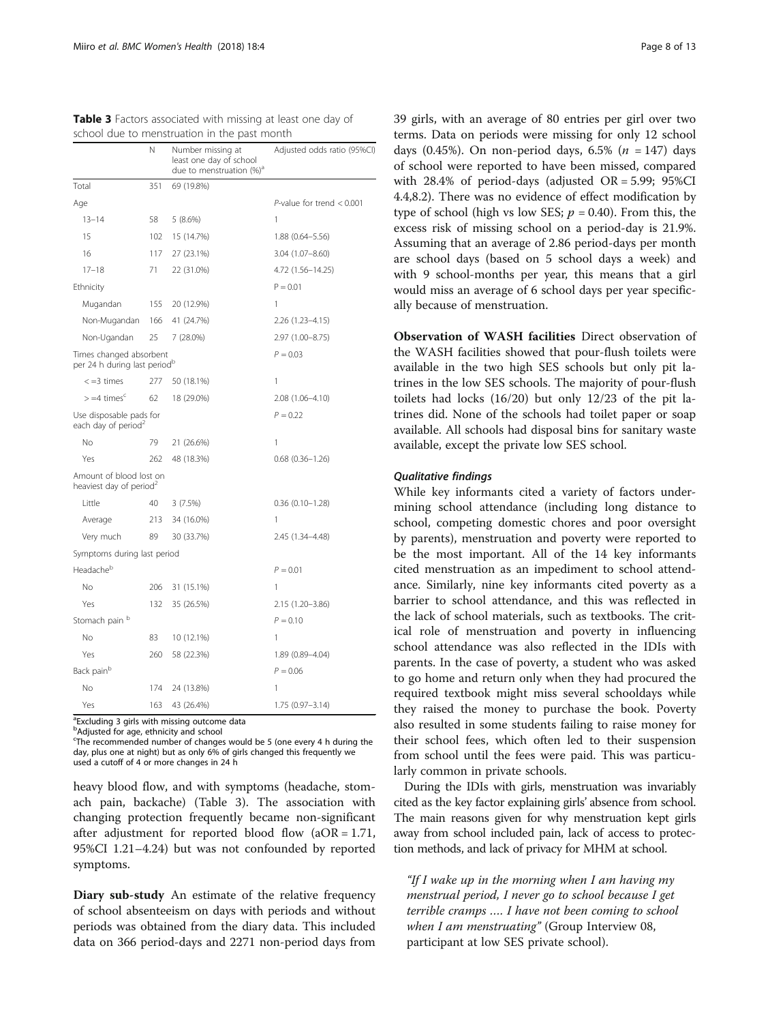|                                                                     | N   | Number missing at<br>least one day of school<br>due to menstruation (%) <sup>a</sup> | Adjusted odds ratio (95%Cl) |
|---------------------------------------------------------------------|-----|--------------------------------------------------------------------------------------|-----------------------------|
| Total                                                               | 351 | 69 (19.8%)                                                                           |                             |
| Age                                                                 |     |                                                                                      | P-value for trend $< 0.001$ |
| $13 - 14$                                                           | 58  | 5(8.6%)                                                                              | 1                           |
| 15                                                                  | 102 | 15 (14.7%)                                                                           | 1.88 (0.64-5.56)            |
| 16                                                                  | 117 | 27 (23.1%)                                                                           | 3.04 (1.07-8.60)            |
| $17 - 18$                                                           | 71  | 22 (31.0%)                                                                           | 4.72 (1.56-14.25)           |
| Ethnicity                                                           |     |                                                                                      | $P = 0.01$                  |
| Mugandan                                                            | 155 | 20 (12.9%)                                                                           | 1                           |
| Non-Mugandan                                                        | 166 | 41 (24.7%)                                                                           | 2.26 (1.23-4.15)            |
| Non-Ugandan                                                         | 25  | 7 (28.0%)                                                                            | 2.97 (1.00-8.75)            |
| Times changed absorbent<br>per 24 h during last period <sup>b</sup> |     |                                                                                      | $P = 0.03$                  |
| $\leq$ =3 times                                                     | 277 | 50 (18.1%)                                                                           | 1                           |
| $> = 4$ times <sup>c</sup>                                          | 62  | 18 (29.0%)                                                                           | 2.08 (1.06-4.10)            |
| Use disposable pads for<br>each day of period <sup>2</sup>          |     |                                                                                      | $P = 0.22$                  |
| No                                                                  | 79  | 21 (26.6%)                                                                           | 1                           |
| Yes                                                                 | 262 | 48 (18.3%)                                                                           | $0.68$ $(0.36 - 1.26)$      |
| Amount of blood lost on<br>heaviest day of period <sup>2</sup>      |     |                                                                                      |                             |
| Little                                                              | 40  | 3(7.5%)                                                                              | $0.36$ $(0.10 - 1.28)$      |
| Average                                                             | 213 | 34 (16.0%)                                                                           | 1                           |
| Very much                                                           | 89  | 30 (33.7%)                                                                           | 2.45 (1.34-4.48)            |
| Symptoms during last period                                         |     |                                                                                      |                             |
| Headache <sup>b</sup>                                               |     |                                                                                      | $P = 0.01$                  |
| No                                                                  | 206 | 31 (15.1%)                                                                           | 1                           |
| Yes                                                                 | 132 | 35 (26.5%)                                                                           | 2.15 (1.20-3.86)            |
| Stomach pain <sup>b</sup>                                           |     |                                                                                      | $P = 0.10$                  |
| No                                                                  | 83  | 10 (12.1%)                                                                           | 1                           |
| Yes                                                                 | 260 | 58 (22.3%)                                                                           | 1.89 (0.89-4.04)            |
| Back pain <sup>b</sup>                                              |     |                                                                                      | $P = 0.06$                  |
| No                                                                  | 174 | 24 (13.8%)                                                                           | 1                           |
| Yes                                                                 | 163 | 43 (26.4%)                                                                           | 1.75 (0.97-3.14)            |

<span id="page-7-0"></span>

|                                              |  | <b>Table 3</b> Factors associated with missing at least one day of |  |  |  |  |  |  |  |
|----------------------------------------------|--|--------------------------------------------------------------------|--|--|--|--|--|--|--|
| school due to menstruation in the past month |  |                                                                    |  |  |  |  |  |  |  |

<sup>a</sup>Excluding 3 girls with missing outcome data

<sup>b</sup>Adjusted for age, ethnicity and school

<sup>c</sup>The recommended number of changes would be 5 (one every 4 h during the day, plus one at night) but as only 6% of girls changed this frequently we used a cutoff of 4 or more changes in 24 h

heavy blood flow, and with symptoms (headache, stomach pain, backache) (Table 3). The association with changing protection frequently became non-significant after adjustment for reported blood flow  $(aOR = 1.71)$ , 95%CI 1.21–4.24) but was not confounded by reported symptoms.

Diary sub-study An estimate of the relative frequency of school absenteeism on days with periods and without periods was obtained from the diary data. This included data on 366 period-days and 2271 non-period days from 39 girls, with an average of 80 entries per girl over two terms. Data on periods were missing for only 12 school days (0.45%). On non-period days, 6.5% ( $n = 147$ ) days of school were reported to have been missed, compared with 28.4% of period-days (adjusted OR = 5.99; 95%CI 4.4,8.2). There was no evidence of effect modification by type of school (high vs low SES;  $p = 0.40$ ). From this, the excess risk of missing school on a period-day is 21.9%. Assuming that an average of 2.86 period-days per month are school days (based on 5 school days a week) and with 9 school-months per year, this means that a girl would miss an average of 6 school days per year specifically because of menstruation.

Observation of WASH facilities Direct observation of the WASH facilities showed that pour-flush toilets were available in the two high SES schools but only pit latrines in the low SES schools. The majority of pour-flush toilets had locks (16/20) but only 12/23 of the pit latrines did. None of the schools had toilet paper or soap available. All schools had disposal bins for sanitary waste available, except the private low SES school.

#### Qualitative findings

While key informants cited a variety of factors undermining school attendance (including long distance to school, competing domestic chores and poor oversight by parents), menstruation and poverty were reported to be the most important. All of the 14 key informants cited menstruation as an impediment to school attendance. Similarly, nine key informants cited poverty as a barrier to school attendance, and this was reflected in the lack of school materials, such as textbooks. The critical role of menstruation and poverty in influencing school attendance was also reflected in the IDIs with parents. In the case of poverty, a student who was asked to go home and return only when they had procured the required textbook might miss several schooldays while they raised the money to purchase the book. Poverty also resulted in some students failing to raise money for their school fees, which often led to their suspension from school until the fees were paid. This was particularly common in private schools.

During the IDIs with girls, menstruation was invariably cited as the key factor explaining girls' absence from school. The main reasons given for why menstruation kept girls away from school included pain, lack of access to protection methods, and lack of privacy for MHM at school.

"If I wake up in the morning when I am having my menstrual period, I never go to school because I get terrible cramps …. I have not been coming to school when I am menstruating" (Group Interview 08, participant at low SES private school).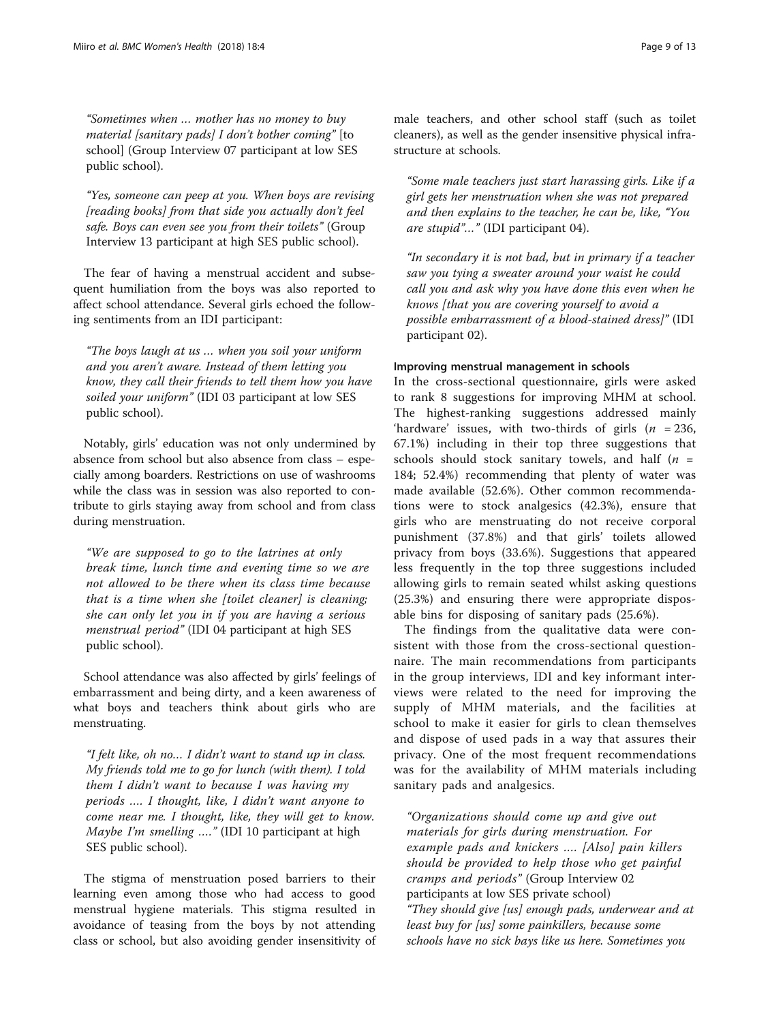"Sometimes when … mother has no money to buy material [sanitary pads] I don't bother coming" [to school] (Group Interview 07 participant at low SES public school).

"Yes, someone can peep at you. When boys are revising [reading books] from that side you actually don't feel safe. Boys can even see you from their toilets" (Group Interview 13 participant at high SES public school).

The fear of having a menstrual accident and subsequent humiliation from the boys was also reported to affect school attendance. Several girls echoed the following sentiments from an IDI participant:

"The boys laugh at us … when you soil your uniform and you aren't aware. Instead of them letting you know, they call their friends to tell them how you have soiled your uniform" (IDI 03 participant at low SES public school).

Notably, girls' education was not only undermined by absence from school but also absence from class – especially among boarders. Restrictions on use of washrooms while the class was in session was also reported to contribute to girls staying away from school and from class during menstruation.

"We are supposed to go to the latrines at only break time, lunch time and evening time so we are not allowed to be there when its class time because that is a time when she [toilet cleaner] is cleaning; she can only let you in if you are having a serious menstrual period" (IDI 04 participant at high SES public school).

School attendance was also affected by girls' feelings of embarrassment and being dirty, and a keen awareness of what boys and teachers think about girls who are menstruating.

"I felt like, oh no… I didn't want to stand up in class. My friends told me to go for lunch (with them). I told them I didn't want to because I was having my periods …. I thought, like, I didn't want anyone to come near me. I thought, like, they will get to know. Maybe I'm smelling …." (IDI 10 participant at high SES public school).

The stigma of menstruation posed barriers to their learning even among those who had access to good menstrual hygiene materials. This stigma resulted in avoidance of teasing from the boys by not attending class or school, but also avoiding gender insensitivity of

male teachers, and other school staff (such as toilet cleaners), as well as the gender insensitive physical infrastructure at schools.

"Some male teachers just start harassing girls. Like if a girl gets her menstruation when she was not prepared and then explains to the teacher, he can be, like, "You are stupid"…" (IDI participant 04).

"In secondary it is not bad, but in primary if a teacher saw you tying a sweater around your waist he could call you and ask why you have done this even when he knows [that you are covering yourself to avoid a possible embarrassment of a blood-stained dress]" (IDI participant 02).

#### Improving menstrual management in schools

In the cross-sectional questionnaire, girls were asked to rank 8 suggestions for improving MHM at school. The highest-ranking suggestions addressed mainly 'hardware' issues, with two-thirds of girls  $(n = 236,$ 67.1%) including in their top three suggestions that schools should stock sanitary towels, and half  $(n =$ 184; 52.4%) recommending that plenty of water was made available (52.6%). Other common recommendations were to stock analgesics (42.3%), ensure that girls who are menstruating do not receive corporal punishment (37.8%) and that girls' toilets allowed privacy from boys (33.6%). Suggestions that appeared less frequently in the top three suggestions included allowing girls to remain seated whilst asking questions (25.3%) and ensuring there were appropriate disposable bins for disposing of sanitary pads (25.6%).

The findings from the qualitative data were consistent with those from the cross-sectional questionnaire. The main recommendations from participants in the group interviews, IDI and key informant interviews were related to the need for improving the supply of MHM materials, and the facilities at school to make it easier for girls to clean themselves and dispose of used pads in a way that assures their privacy. One of the most frequent recommendations was for the availability of MHM materials including sanitary pads and analgesics.

"Organizations should come up and give out materials for girls during menstruation. For example pads and knickers …. [Also] pain killers should be provided to help those who get painful cramps and periods" (Group Interview 02 participants at low SES private school) "They should give [us] enough pads, underwear and at least buy for [us] some painkillers, because some schools have no sick bays like us here. Sometimes you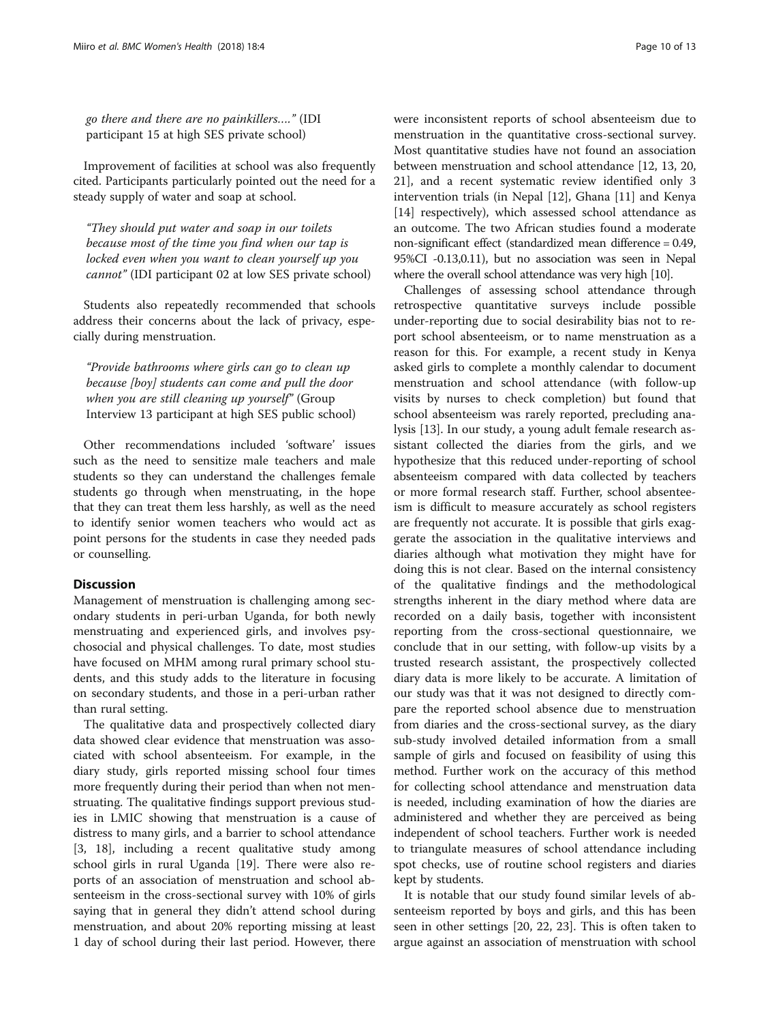go there and there are no painkillers…." (IDI participant 15 at high SES private school)

Improvement of facilities at school was also frequently cited. Participants particularly pointed out the need for a steady supply of water and soap at school.

"They should put water and soap in our toilets because most of the time you find when our tap is locked even when you want to clean yourself up you cannot" (IDI participant 02 at low SES private school)

Students also repeatedly recommended that schools address their concerns about the lack of privacy, especially during menstruation.

"Provide bathrooms where girls can go to clean up because [boy] students can come and pull the door when you are still cleaning up yourself" (Group Interview 13 participant at high SES public school)

Other recommendations included 'software' issues such as the need to sensitize male teachers and male students so they can understand the challenges female students go through when menstruating, in the hope that they can treat them less harshly, as well as the need to identify senior women teachers who would act as point persons for the students in case they needed pads or counselling.

### **Discussion**

Management of menstruation is challenging among secondary students in peri-urban Uganda, for both newly menstruating and experienced girls, and involves psychosocial and physical challenges. To date, most studies have focused on MHM among rural primary school students, and this study adds to the literature in focusing on secondary students, and those in a peri-urban rather than rural setting.

The qualitative data and prospectively collected diary data showed clear evidence that menstruation was associated with school absenteeism. For example, in the diary study, girls reported missing school four times more frequently during their period than when not menstruating. The qualitative findings support previous studies in LMIC showing that menstruation is a cause of distress to many girls, and a barrier to school attendance [[3,](#page-11-0) [18\]](#page-12-0), including a recent qualitative study among school girls in rural Uganda [[19](#page-12-0)]. There were also reports of an association of menstruation and school absenteeism in the cross-sectional survey with 10% of girls saying that in general they didn't attend school during menstruation, and about 20% reporting missing at least 1 day of school during their last period. However, there

were inconsistent reports of school absenteeism due to menstruation in the quantitative cross-sectional survey. Most quantitative studies have not found an association between menstruation and school attendance [[12, 13, 20](#page-12-0), [21\]](#page-12-0), and a recent systematic review identified only 3 intervention trials (in Nepal [[12\]](#page-12-0), Ghana [[11](#page-12-0)] and Kenya [[14\]](#page-12-0) respectively), which assessed school attendance as an outcome. The two African studies found a moderate non-significant effect (standardized mean difference = 0.49, 95%CI -0.13,0.11), but no association was seen in Nepal where the overall school attendance was very high [\[10\]](#page-11-0).

Challenges of assessing school attendance through retrospective quantitative surveys include possible under-reporting due to social desirability bias not to report school absenteeism, or to name menstruation as a reason for this. For example, a recent study in Kenya asked girls to complete a monthly calendar to document menstruation and school attendance (with follow-up visits by nurses to check completion) but found that school absenteeism was rarely reported, precluding analysis [[13\]](#page-12-0). In our study, a young adult female research assistant collected the diaries from the girls, and we hypothesize that this reduced under-reporting of school absenteeism compared with data collected by teachers or more formal research staff. Further, school absenteeism is difficult to measure accurately as school registers are frequently not accurate. It is possible that girls exaggerate the association in the qualitative interviews and diaries although what motivation they might have for doing this is not clear. Based on the internal consistency of the qualitative findings and the methodological strengths inherent in the diary method where data are recorded on a daily basis, together with inconsistent reporting from the cross-sectional questionnaire, we conclude that in our setting, with follow-up visits by a trusted research assistant, the prospectively collected diary data is more likely to be accurate. A limitation of our study was that it was not designed to directly compare the reported school absence due to menstruation from diaries and the cross-sectional survey, as the diary sub-study involved detailed information from a small sample of girls and focused on feasibility of using this method. Further work on the accuracy of this method for collecting school attendance and menstruation data is needed, including examination of how the diaries are administered and whether they are perceived as being independent of school teachers. Further work is needed to triangulate measures of school attendance including spot checks, use of routine school registers and diaries kept by students.

It is notable that our study found similar levels of absenteeism reported by boys and girls, and this has been seen in other settings [[20, 22](#page-12-0), [23](#page-12-0)]. This is often taken to argue against an association of menstruation with school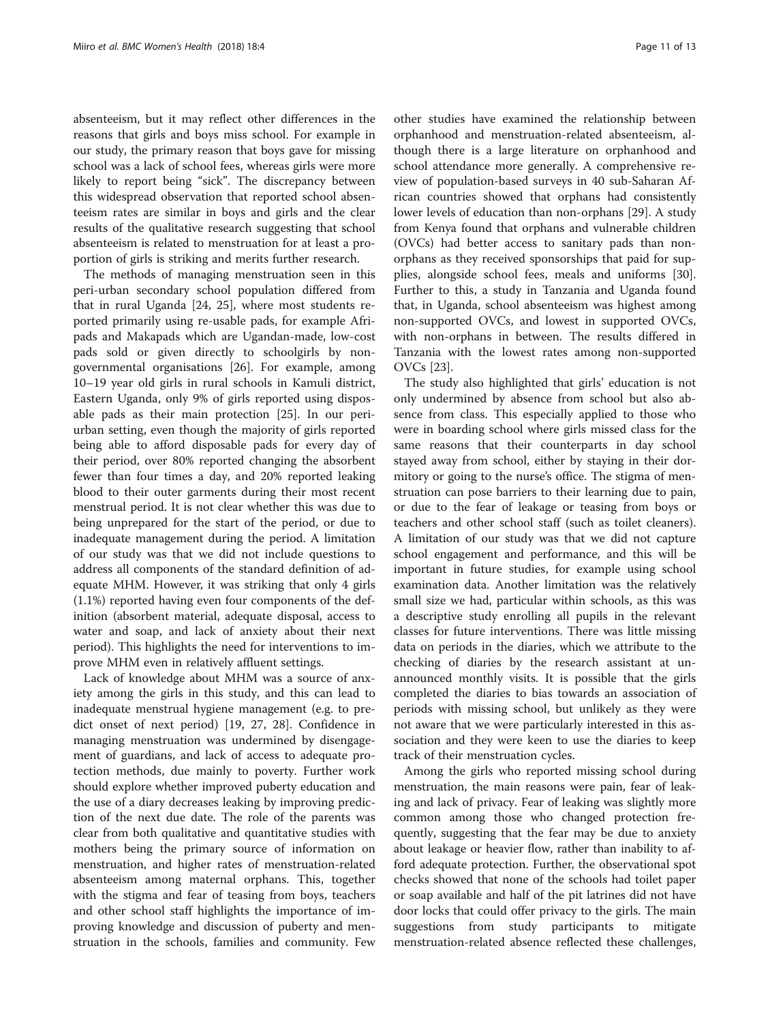absenteeism, but it may reflect other differences in the reasons that girls and boys miss school. For example in our study, the primary reason that boys gave for missing school was a lack of school fees, whereas girls were more likely to report being "sick". The discrepancy between this widespread observation that reported school absenteeism rates are similar in boys and girls and the clear results of the qualitative research suggesting that school absenteeism is related to menstruation for at least a proportion of girls is striking and merits further research.

The methods of managing menstruation seen in this peri-urban secondary school population differed from that in rural Uganda [\[24](#page-12-0), [25](#page-12-0)], where most students reported primarily using re-usable pads, for example Afripads and Makapads which are Ugandan-made, low-cost pads sold or given directly to schoolgirls by nongovernmental organisations [[26\]](#page-12-0). For example, among 10–19 year old girls in rural schools in Kamuli district, Eastern Uganda, only 9% of girls reported using disposable pads as their main protection [\[25\]](#page-12-0). In our periurban setting, even though the majority of girls reported being able to afford disposable pads for every day of their period, over 80% reported changing the absorbent fewer than four times a day, and 20% reported leaking blood to their outer garments during their most recent menstrual period. It is not clear whether this was due to being unprepared for the start of the period, or due to inadequate management during the period. A limitation of our study was that we did not include questions to address all components of the standard definition of adequate MHM. However, it was striking that only 4 girls (1.1%) reported having even four components of the definition (absorbent material, adequate disposal, access to water and soap, and lack of anxiety about their next period). This highlights the need for interventions to improve MHM even in relatively affluent settings.

Lack of knowledge about MHM was a source of anxiety among the girls in this study, and this can lead to inadequate menstrual hygiene management (e.g. to predict onset of next period) [\[19, 27, 28\]](#page-12-0). Confidence in managing menstruation was undermined by disengagement of guardians, and lack of access to adequate protection methods, due mainly to poverty. Further work should explore whether improved puberty education and the use of a diary decreases leaking by improving prediction of the next due date. The role of the parents was clear from both qualitative and quantitative studies with mothers being the primary source of information on menstruation, and higher rates of menstruation-related absenteeism among maternal orphans. This, together with the stigma and fear of teasing from boys, teachers and other school staff highlights the importance of improving knowledge and discussion of puberty and menstruation in the schools, families and community. Few

other studies have examined the relationship between orphanhood and menstruation-related absenteeism, although there is a large literature on orphanhood and school attendance more generally. A comprehensive review of population-based surveys in 40 sub-Saharan African countries showed that orphans had consistently lower levels of education than non-orphans [[29\]](#page-12-0). A study from Kenya found that orphans and vulnerable children (OVCs) had better access to sanitary pads than nonorphans as they received sponsorships that paid for supplies, alongside school fees, meals and uniforms [\[30](#page-12-0)]. Further to this, a study in Tanzania and Uganda found that, in Uganda, school absenteeism was highest among non-supported OVCs, and lowest in supported OVCs, with non-orphans in between. The results differed in Tanzania with the lowest rates among non-supported OVCs [[23](#page-12-0)].

The study also highlighted that girls' education is not only undermined by absence from school but also absence from class. This especially applied to those who were in boarding school where girls missed class for the same reasons that their counterparts in day school stayed away from school, either by staying in their dormitory or going to the nurse's office. The stigma of menstruation can pose barriers to their learning due to pain, or due to the fear of leakage or teasing from boys or teachers and other school staff (such as toilet cleaners). A limitation of our study was that we did not capture school engagement and performance, and this will be important in future studies, for example using school examination data. Another limitation was the relatively small size we had, particular within schools, as this was a descriptive study enrolling all pupils in the relevant classes for future interventions. There was little missing data on periods in the diaries, which we attribute to the checking of diaries by the research assistant at unannounced monthly visits. It is possible that the girls completed the diaries to bias towards an association of periods with missing school, but unlikely as they were not aware that we were particularly interested in this association and they were keen to use the diaries to keep track of their menstruation cycles.

Among the girls who reported missing school during menstruation, the main reasons were pain, fear of leaking and lack of privacy. Fear of leaking was slightly more common among those who changed protection frequently, suggesting that the fear may be due to anxiety about leakage or heavier flow, rather than inability to afford adequate protection. Further, the observational spot checks showed that none of the schools had toilet paper or soap available and half of the pit latrines did not have door locks that could offer privacy to the girls. The main suggestions from study participants to mitigate menstruation-related absence reflected these challenges,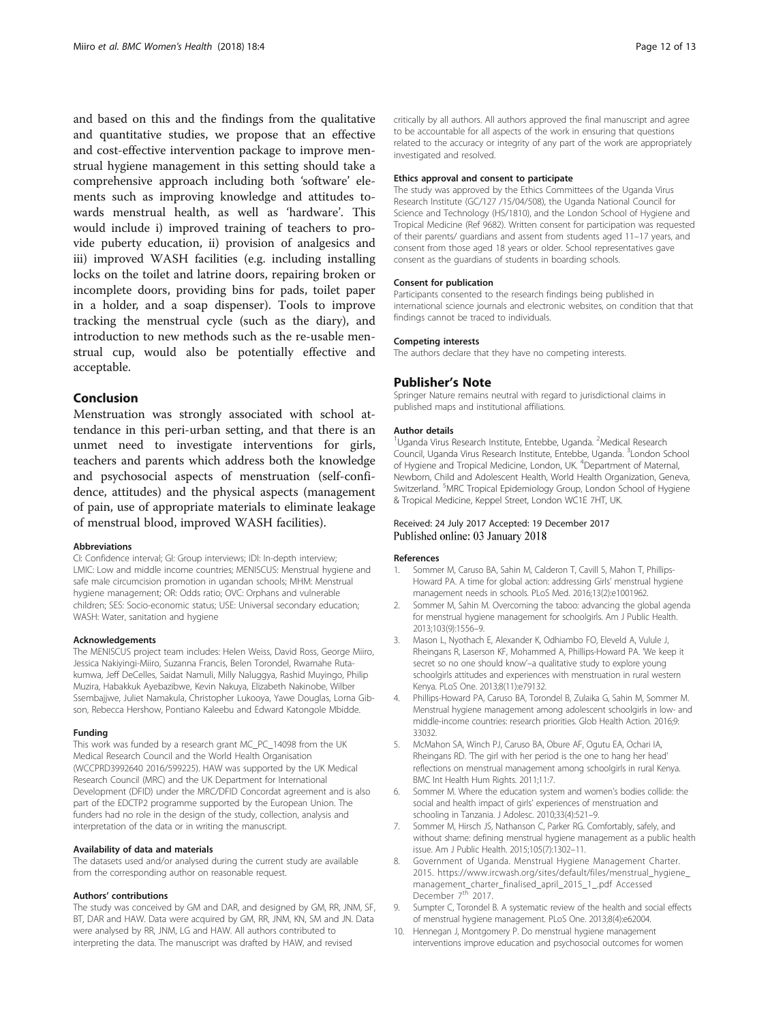<span id="page-11-0"></span>and based on this and the findings from the qualitative and quantitative studies, we propose that an effective and cost-effective intervention package to improve menstrual hygiene management in this setting should take a comprehensive approach including both 'software' elements such as improving knowledge and attitudes towards menstrual health, as well as 'hardware'. This would include i) improved training of teachers to provide puberty education, ii) provision of analgesics and iii) improved WASH facilities (e.g. including installing locks on the toilet and latrine doors, repairing broken or incomplete doors, providing bins for pads, toilet paper in a holder, and a soap dispenser). Tools to improve tracking the menstrual cycle (such as the diary), and introduction to new methods such as the re-usable menstrual cup, would also be potentially effective and acceptable.

#### Conclusion

Menstruation was strongly associated with school attendance in this peri-urban setting, and that there is an unmet need to investigate interventions for girls, teachers and parents which address both the knowledge and psychosocial aspects of menstruation (self-confidence, attitudes) and the physical aspects (management of pain, use of appropriate materials to eliminate leakage of menstrual blood, improved WASH facilities).

#### Abbreviations

CI: Confidence interval; GI: Group interviews; IDI: In-depth interview; LMIC: Low and middle income countries; MENISCUS: Menstrual hygiene and safe male circumcision promotion in ugandan schools; MHM: Menstrual hygiene management; OR: Odds ratio; OVC: Orphans and vulnerable children; SES: Socio-economic status; USE: Universal secondary education; WASH: Water, sanitation and hygiene

#### Acknowledgements

The MENISCUS project team includes: Helen Weiss, David Ross, George Miiro, Jessica Nakiyingi-Miiro, Suzanna Francis, Belen Torondel, Rwamahe Rutakumwa, Jeff DeCelles, Saidat Namuli, Milly Naluggya, Rashid Muyingo, Philip Muzira, Habakkuk Ayebazibwe, Kevin Nakuya, Elizabeth Nakinobe, Wilber Ssembajjwe, Juliet Namakula, Christopher Lukooya, Yawe Douglas, Lorna Gibson, Rebecca Hershow, Pontiano Kaleebu and Edward Katongole Mbidde.

#### Funding

This work was funded by a research grant MC\_PC\_14098 from the UK Medical Research Council and the World Health Organisation (WCCPRD3992640 2016/599225). HAW was supported by the UK Medical Research Council (MRC) and the UK Department for International Development (DFID) under the MRC/DFID Concordat agreement and is also part of the EDCTP2 programme supported by the European Union. The funders had no role in the design of the study, collection, analysis and interpretation of the data or in writing the manuscript.

#### Availability of data and materials

The datasets used and/or analysed during the current study are available from the corresponding author on reasonable request.

#### Authors' contributions

The study was conceived by GM and DAR, and designed by GM, RR, JNM, SF, BT, DAR and HAW. Data were acquired by GM, RR, JNM, KN, SM and JN. Data were analysed by RR, JNM, LG and HAW. All authors contributed to interpreting the data. The manuscript was drafted by HAW, and revised

critically by all authors. All authors approved the final manuscript and agree to be accountable for all aspects of the work in ensuring that questions related to the accuracy or integrity of any part of the work are appropriately investigated and resolved.

#### Ethics approval and consent to participate

The study was approved by the Ethics Committees of the Uganda Virus Research Institute (GC/127 /15/04/508), the Uganda National Council for Science and Technology (HS/1810), and the London School of Hygiene and Tropical Medicine (Ref 9682). Written consent for participation was requested of their parents/ guardians and assent from students aged 11–17 years, and consent from those aged 18 years or older. School representatives gave consent as the guardians of students in boarding schools.

#### Consent for publication

Participants consented to the research findings being published in international science journals and electronic websites, on condition that that findings cannot be traced to individuals.

#### Competing interests

The authors declare that they have no competing interests.

#### Publisher's Note

Springer Nature remains neutral with regard to jurisdictional claims in published maps and institutional affiliations.

#### Author details

<sup>1</sup>Uganda Virus Research Institute, Entebbe, Uganda. <sup>2</sup>Medical Research Council, Uganda Virus Research Institute, Entebbe, Uganda. <sup>3</sup>London School of Hygiene and Tropical Medicine, London, UK. <sup>4</sup>Department of Maternal Newborn, Child and Adolescent Health, World Health Organization, Geneva, Switzerland. <sup>5</sup>MRC Tropical Epidemiology Group, London School of Hygiene & Tropical Medicine, Keppel Street, London WC1E 7HT, UK.

#### Received: 24 July 2017 Accepted: 19 December 2017 Published online: 03 January 2018

#### References

- 1. Sommer M, Caruso BA, Sahin M, Calderon T, Cavill S, Mahon T, Phillips-Howard PA. A time for global action: addressing Girls' menstrual hygiene management needs in schools. PLoS Med. 2016;13(2):e1001962.
- 2. Sommer M, Sahin M. Overcoming the taboo: advancing the global agenda for menstrual hygiene management for schoolgirls. Am J Public Health. 2013;103(9):1556–9.
- 3. Mason L, Nyothach E, Alexander K, Odhiambo FO, Eleveld A, Vulule J, Rheingans R, Laserson KF, Mohammed A, Phillips-Howard PA. 'We keep it secret so no one should know'–a qualitative study to explore young schoolgirls attitudes and experiences with menstruation in rural western Kenya. PLoS One. 2013;8(11):e79132.
- 4. Phillips-Howard PA, Caruso BA, Torondel B, Zulaika G, Sahin M, Sommer M. Menstrual hygiene management among adolescent schoolgirls in low- and middle-income countries: research priorities. Glob Health Action. 2016;9: 33032.
- 5. McMahon SA, Winch PJ, Caruso BA, Obure AF, Ogutu EA, Ochari IA, Rheingans RD. 'The girl with her period is the one to hang her head' reflections on menstrual management among schoolgirls in rural Kenya. BMC Int Health Hum Rights. 2011;11:7.
- 6. Sommer M. Where the education system and women's bodies collide: the social and health impact of girls' experiences of menstruation and schooling in Tanzania. J Adolesc. 2010;33(4):521–9.
- 7. Sommer M, Hirsch JS, Nathanson C, Parker RG. Comfortably, safely, and without shame: defining menstrual hygiene management as a public health issue. Am J Public Health. 2015;105(7):1302–11.
- 8. Government of Uganda. Menstrual Hygiene Management Charter. 2015. [https://www.ircwash.org/sites/default/files/menstrual\\_hygiene\\_](https://www.ircwash.org/sites/default/files/menstrual_hygiene_management_charter_finalised_april_2015_1_.pdf) [management\\_charter\\_finalised\\_april\\_2015\\_1\\_.pdf](https://www.ircwash.org/sites/default/files/menstrual_hygiene_management_charter_finalised_april_2015_1_.pdf) Accessed December 7<sup>th</sup> 2017.
- 9. Sumpter C, Torondel B. A systematic review of the health and social effects of menstrual hygiene management. PLoS One. 2013;8(4):e62004.
- 10. Hennegan J, Montgomery P. Do menstrual hygiene management interventions improve education and psychosocial outcomes for women